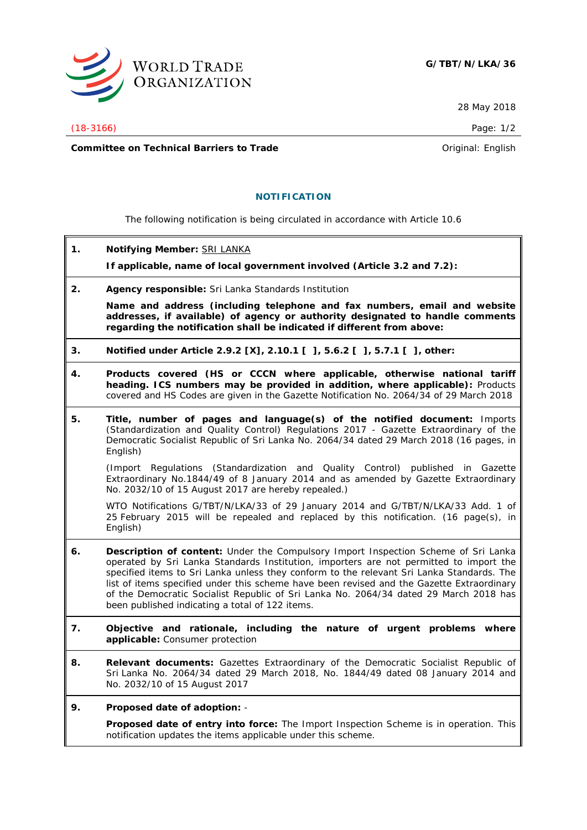

28 May 2018

(18-3166) Page: 1/2

**Committee on Technical Barriers to Trade Committee on Technical Barriers to Trade Original:** English

## **NOTIFICATION**

The following notification is being circulated in accordance with Article 10.6

**1. Notifying Member:** SRI LANKA

**If applicable, name of local government involved (Article 3.2 and 7.2):**

**2. Agency responsible:** Sri Lanka Standards Institution

**Name and address (including telephone and fax numbers, email and website addresses, if available) of agency or authority designated to handle comments regarding the notification shall be indicated if different from above:**

- **3. Notified under Article 2.9.2 [X], 2.10.1 [ ], 5.6.2 [ ], 5.7.1 [ ], other:**
- **4. Products covered (HS or CCCN where applicable, otherwise national tariff heading. ICS numbers may be provided in addition, where applicable):** Products covered and HS Codes are given in the Gazette Notification No. 2064/34 of 29 March 2018
- **5. Title, number of pages and language(s) of the notified document:** Imports (Standardization and Quality Control) Regulations 2017 - Gazette Extraordinary of the Democratic Socialist Republic of Sri Lanka No. 2064/34 dated 29 March 2018 (16 pages, in English)

(Import Regulations (Standardization and Quality Control) published in Gazette Extraordinary No.1844/49 of 8 January 2014 and as amended by Gazette Extraordinary No. 2032/10 of 15 August 2017 are hereby repealed.)

WTO Notifications G/TBT/N/LKA/33 of 29 January 2014 and G/TBT/N/LKA/33 Add. 1 of 25 February 2015 will be repealed and replaced by this notification. (16 page(s), in English)

- **6. Description of content:** Under the Compulsory Import Inspection Scheme of Sri Lanka operated by Sri Lanka Standards Institution, importers are not permitted to import the specified items to Sri Lanka unless they conform to the relevant Sri Lanka Standards. The list of items specified under this scheme have been revised and the Gazette Extraordinary of the Democratic Socialist Republic of Sri Lanka No. 2064/34 dated 29 March 2018 has been published indicating a total of 122 items.
- **7. Objective and rationale, including the nature of urgent problems where applicable:** Consumer protection
- **8. Relevant documents:** Gazettes Extraordinary of the Democratic Socialist Republic of Sri Lanka No. 2064/34 dated 29 March 2018, No. 1844/49 dated 08 January 2014 and No. 2032/10 of 15 August 2017
- **9. Proposed date of adoption:** -

**Proposed date of entry into force:** The Import Inspection Scheme is in operation. This notification updates the items applicable under this scheme.